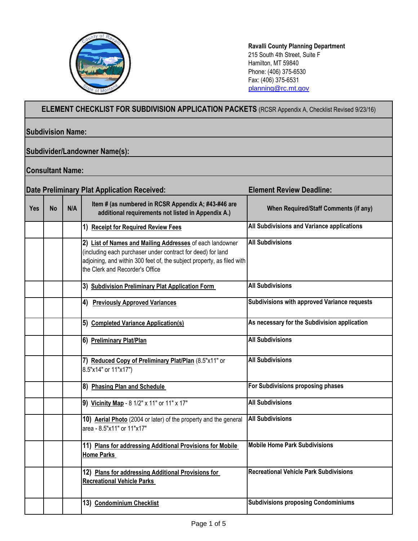

**Ravalli County Planning Department** 215 South 4th Street, Suite F Hamilton, MT 59840 Phone: (406) 375-6530 Fax: (406) 375-6531 [planning@rc.mt.gov](mailto:planning@rc.mt.gov)

## **ELEMENT CHECKLIST FOR SUBDIVISION APPLICATION PACKETS** (RCSR Appendix A, Checklist Revised 9/23/16)

## **Subdivision Name:**

## **Subdivider/Landowner Name(s):**

## **Consultant Name:**

| <b>Date Preliminary Plat Application Received:</b> |           |     |                                                                                                                                                                                                                                      | <b>Element Review Deadline:</b>               |
|----------------------------------------------------|-----------|-----|--------------------------------------------------------------------------------------------------------------------------------------------------------------------------------------------------------------------------------------|-----------------------------------------------|
| <b>Yes</b>                                         | <b>No</b> | N/A | Item # (as numbered in RCSR Appendix A; #43-#46 are<br>additional requirements not listed in Appendix A.)                                                                                                                            | <b>When Required/Staff Comments (if any)</b>  |
|                                                    |           |     | 1) Receipt for Required Review Fees                                                                                                                                                                                                  | All Subdivisions and Variance applications    |
|                                                    |           |     | 2) List of Names and Mailing Addresses of each landowner<br>(including each purchaser under contract for deed) for land<br>adjoining, and within 300 feet of, the subject property, as filed with<br>the Clerk and Recorder's Office | <b>All Subdivisions</b>                       |
|                                                    |           |     | 3) Subdivision Preliminary Plat Application Form                                                                                                                                                                                     | <b>All Subdivisions</b>                       |
|                                                    |           |     | 4) Previously Approved Variances                                                                                                                                                                                                     | Subdivisions with approved Variance requests  |
|                                                    |           |     | 5) Completed Variance Application(s)                                                                                                                                                                                                 | As necessary for the Subdivision application  |
|                                                    |           |     | 6) Preliminary Plat/Plan                                                                                                                                                                                                             | <b>All Subdivisions</b>                       |
|                                                    |           |     | 7) Reduced Copy of Preliminary Plat/Plan (8.5"x11" or<br>8.5"x14" or 11"x17")                                                                                                                                                        | <b>All Subdivisions</b>                       |
|                                                    |           |     | 8) Phasing Plan and Schedule                                                                                                                                                                                                         | For Subdivisions proposing phases             |
|                                                    |           |     | 9) Vicinity Map - 8 1/2" x 11" or 11" x 17"                                                                                                                                                                                          | <b>All Subdivisions</b>                       |
|                                                    |           |     | 10) Aerial Photo (2004 or later) of the property and the general<br>area - 8.5"x11" or 11"x17"                                                                                                                                       | <b>All Subdivisions</b>                       |
|                                                    |           |     | 11) Plans for addressing Additional Provisions for Mobile<br><b>Home Parks</b>                                                                                                                                                       | <b>Mobile Home Park Subdivisions</b>          |
|                                                    |           |     | 12) Plans for addressing Additional Provisions for<br><b>Recreational Vehicle Parks</b>                                                                                                                                              | <b>Recreational Vehicle Park Subdivisions</b> |
|                                                    |           |     | 13) Condominium Checklist                                                                                                                                                                                                            | <b>Subdivisions proposing Condominiums</b>    |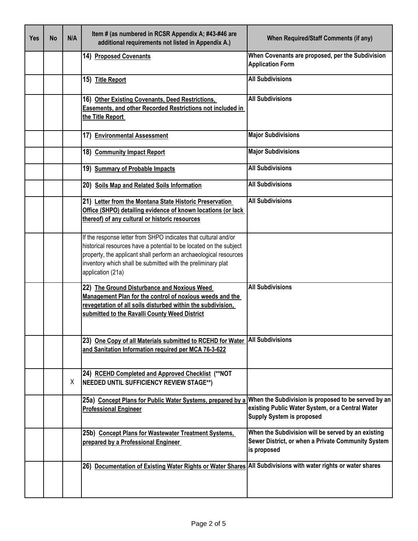| <b>Yes</b> | <b>No</b> | N/A | Item # (as numbered in RCSR Appendix A; #43-#46 are<br>additional requirements not listed in Appendix A.)                                                                                                                                                                                       | <b>When Required/Staff Comments (if any)</b>                                                                            |
|------------|-----------|-----|-------------------------------------------------------------------------------------------------------------------------------------------------------------------------------------------------------------------------------------------------------------------------------------------------|-------------------------------------------------------------------------------------------------------------------------|
|            |           |     | 14) Proposed Covenants                                                                                                                                                                                                                                                                          | When Covenants are proposed, per the Subdivision<br><b>Application Form</b>                                             |
|            |           |     | 15) Title Report                                                                                                                                                                                                                                                                                | <b>All Subdivisions</b>                                                                                                 |
|            |           |     | 16) Other Existing Covenants, Deed Restrictions,<br>Easements, and other Recorded Restrictions not included in<br>the Title Report                                                                                                                                                              | <b>All Subdivisions</b>                                                                                                 |
|            |           |     | 17) Environmental Assessment                                                                                                                                                                                                                                                                    | <b>Major Subdivisions</b>                                                                                               |
|            |           |     | 18) Community Impact Report                                                                                                                                                                                                                                                                     | <b>Major Subdivisions</b>                                                                                               |
|            |           |     | 19) Summary of Probable Impacts                                                                                                                                                                                                                                                                 | <b>All Subdivisions</b>                                                                                                 |
|            |           |     | 20) Soils Map and Related Soils Information                                                                                                                                                                                                                                                     | <b>All Subdivisions</b>                                                                                                 |
|            |           |     | 21) Letter from the Montana State Historic Preservation<br>Office (SHPO) detailing evidence of known locations (or lack<br>thereof) of any cultural or historic resources                                                                                                                       | <b>All Subdivisions</b>                                                                                                 |
|            |           |     | If the response letter from SHPO indicates that cultural and/or<br>historical resources have a potential to be located on the subject<br>property, the applicant shall perform an archaeological resources<br>inventory which shall be submitted with the preliminary plat<br>application (21a) |                                                                                                                         |
|            |           |     | 22) The Ground Disturbance and Noxious Weed<br>Management Plan for the control of noxious weeds and the<br>revegetation of all soils disturbed within the subdivision,<br>submitted to the Ravalli County Weed District                                                                         | <b>All Subdivisions</b>                                                                                                 |
|            |           |     | 23) One Copy of all Materials submitted to RCEHD for Water<br>and Sanitation Information required per MCA 76-3-622                                                                                                                                                                              | <b>All Subdivisions</b>                                                                                                 |
|            |           | X.  | 24) RCEHD Completed and Approved Checklist (**NOT<br>NEEDED UNTIL SUFFICIENCY REVIEW STAGE**)                                                                                                                                                                                                   |                                                                                                                         |
|            |           |     | 25a) Concept Plans for Public Water Systems, prepared by a When the Subdivision is proposed to be served by an<br><b>Professional Engineer</b>                                                                                                                                                  | existing Public Water System, or a Central Water<br><b>Supply System is proposed</b>                                    |
|            |           |     | 25b) Concept Plans for Wastewater Treatment Systems,<br>prepared by a Professional Engineer                                                                                                                                                                                                     | When the Subdivision will be served by an existing<br>Sewer District, or when a Private Community System<br>is proposed |
|            |           |     | 26) Documentation of Existing Water Rights or Water Shares All Subdivisions with water rights or water shares                                                                                                                                                                                   |                                                                                                                         |
|            |           |     |                                                                                                                                                                                                                                                                                                 |                                                                                                                         |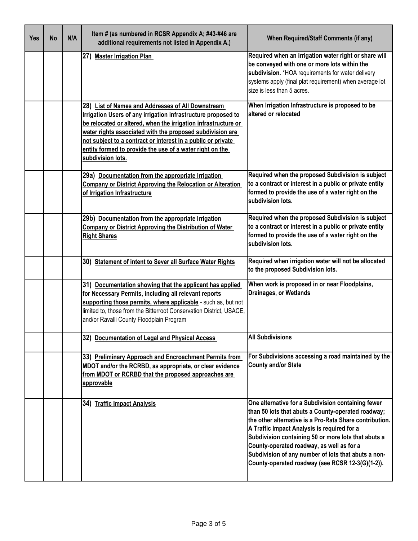| <b>Yes</b> | <b>No</b> | N/A | Item # (as numbered in RCSR Appendix A; #43-#46 are<br>additional requirements not listed in Appendix A.)                                                                                                                                                                                                                                                                                          | <b>When Required/Staff Comments (if any)</b>                                                                                                                                                                                                                                                                                                                                                                                      |
|------------|-----------|-----|----------------------------------------------------------------------------------------------------------------------------------------------------------------------------------------------------------------------------------------------------------------------------------------------------------------------------------------------------------------------------------------------------|-----------------------------------------------------------------------------------------------------------------------------------------------------------------------------------------------------------------------------------------------------------------------------------------------------------------------------------------------------------------------------------------------------------------------------------|
|            |           |     | 27) Master Irrigation Plan                                                                                                                                                                                                                                                                                                                                                                         | Required when an irrigation water right or share will<br>be conveyed with one or more lots within the<br>subdivision. *HOA requirements for water delivery<br>systems apply (final plat requirement) when average lot<br>size is less than 5 acres.                                                                                                                                                                               |
|            |           |     | 28) List of Names and Addresses of All Downstream<br>Irrigation Users of any irrigation infrastructure proposed to<br>be relocated or altered, when the irrigation infrastructure or<br>water rights associated with the proposed subdivision are<br>not subject to a contract or interest in a public or private<br>entity formed to provide the use of a water right on the<br>subdivision lots. | When Irrigation Infrastructure is proposed to be<br>altered or relocated                                                                                                                                                                                                                                                                                                                                                          |
|            |           |     | 29a) Documentation from the appropriate Irrigation<br>Company or District Approving the Relocation or Alteration<br>of Irrigation Infrastructure                                                                                                                                                                                                                                                   | Required when the proposed Subdivision is subject<br>to a contract or interest in a public or private entity<br>formed to provide the use of a water right on the<br>subdivision lots.                                                                                                                                                                                                                                            |
|            |           |     | 29b) Documentation from the appropriate Irrigation<br><b>Company or District Approving the Distribution of Water</b><br><b>Right Shares</b>                                                                                                                                                                                                                                                        | Required when the proposed Subdivision is subject<br>to a contract or interest in a public or private entity<br>formed to provide the use of a water right on the<br>subdivision lots.                                                                                                                                                                                                                                            |
|            |           |     | 30) Statement of intent to Sever all Surface Water Rights                                                                                                                                                                                                                                                                                                                                          | Required when irrigation water will not be allocated<br>to the proposed Subdivision lots.                                                                                                                                                                                                                                                                                                                                         |
|            |           |     | 31) Documentation showing that the applicant has applied<br>for Necessary Permits, including all relevant reports<br>supporting those permits, where applicable - such as, but not<br>limited to, those from the Bitterroot Conservation District, USACE,<br>and/or Ravalli County Floodplain Program                                                                                              | When work is proposed in or near Floodplains,<br>Drainages, or Wetlands                                                                                                                                                                                                                                                                                                                                                           |
|            |           |     | 32) Documentation of Legal and Physical Access                                                                                                                                                                                                                                                                                                                                                     | <b>All Subdivisions</b>                                                                                                                                                                                                                                                                                                                                                                                                           |
|            |           |     | 33) Preliminary Approach and Encroachment Permits from<br>MDOT and/or the RCRBD, as appropriate, or clear evidence<br>from MDOT or RCRBD that the proposed approaches are<br>approvable                                                                                                                                                                                                            | For Subdivisions accessing a road maintained by the<br><b>County and/or State</b>                                                                                                                                                                                                                                                                                                                                                 |
|            |           |     | 34) Traffic Impact Analysis                                                                                                                                                                                                                                                                                                                                                                        | One alternative for a Subdivision containing fewer<br>than 50 lots that abuts a County-operated roadway;<br>the other alternative is a Pro-Rata Share contribution.<br>A Traffic Impact Analysis is required for a<br>Subdivision containing 50 or more lots that abuts a<br>County-operated roadway, as well as for a<br>Subdivision of any number of lots that abuts a non-<br>County-operated roadway (see RCSR 12-3(G)(1-2)). |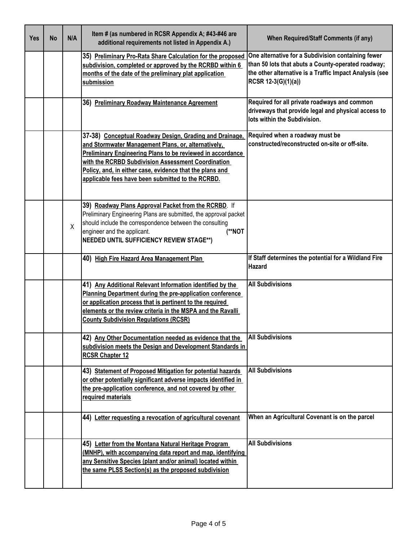| <b>Yes</b> | <b>No</b> | N/A | Item # (as numbered in RCSR Appendix A; #43-#46 are<br>additional requirements not listed in Appendix A.)                                                                                                                                                                                                                                                  | <b>When Required/Staff Comments (if any)</b>                                                                                                                                               |
|------------|-----------|-----|------------------------------------------------------------------------------------------------------------------------------------------------------------------------------------------------------------------------------------------------------------------------------------------------------------------------------------------------------------|--------------------------------------------------------------------------------------------------------------------------------------------------------------------------------------------|
|            |           |     | 35) Preliminary Pro-Rata Share Calculation for the proposed<br>subdivision, completed or approved by the RCRBD within 6<br>months of the date of the preliminary plat application<br>submission                                                                                                                                                            | One alternative for a Subdivision containing fewer<br>than 50 lots that abuts a County-operated roadway;<br>the other alternative is a Traffic Impact Analysis (see<br>RCSR 12-3(G)(1)(a)) |
|            |           |     | 36) Preliminary Roadway Maintenance Agreement                                                                                                                                                                                                                                                                                                              | Required for all private roadways and common<br>driveways that provide legal and physical access to<br>lots within the Subdivision.                                                        |
|            |           |     | 37-38) Conceptual Roadway Design, Grading and Drainage,<br>and Stormwater Management Plans, or, alternatively,<br><b>Preliminary Engineering Plans to be reviewed in accordance</b><br>with the RCRBD Subdivision Assessment Coordination<br>Policy, and, in either case, evidence that the plans and<br>applicable fees have been submitted to the RCRBD. | Required when a roadway must be<br>constructed/reconstructed on-site or off-site.                                                                                                          |
|            |           | X   | 39) Roadway Plans Approval Packet from the RCRBD. If<br>Preliminary Engineering Plans are submitted, the approval packet<br>should include the correspondence between the consulting<br>(**NOT<br>engineer and the applicant.<br><b>NEEDED UNTIL SUFFICIENCY REVIEW STAGE**)</b>                                                                           |                                                                                                                                                                                            |
|            |           |     | 40) High Fire Hazard Area Management Plan                                                                                                                                                                                                                                                                                                                  | If Staff determines the potential for a Wildland Fire<br>Hazard                                                                                                                            |
|            |           |     | 41) Any Additional Relevant Information identified by the<br>Planning Department during the pre-application conference<br>or application process that is pertinent to the required<br>elements or the review criteria in the MSPA and the Ravalli<br><b>County Subdivision Regulations (RCSR)</b>                                                          | <b>All Subdivisions</b>                                                                                                                                                                    |
|            |           |     | 42) Any Other Documentation needed as evidence that the<br>subdivision meets the Design and Development Standards in<br><b>RCSR Chapter 12</b>                                                                                                                                                                                                             | <b>All Subdivisions</b>                                                                                                                                                                    |
|            |           |     | 43) Statement of Proposed Mitigation for potential hazards<br>or other potentially significant adverse impacts identified in<br>the pre-application conference, and not covered by other<br>required materials                                                                                                                                             | <b>All Subdivisions</b>                                                                                                                                                                    |
|            |           |     | 44) Letter requesting a revocation of agricultural covenant                                                                                                                                                                                                                                                                                                | When an Agricultural Covenant is on the parcel                                                                                                                                             |
|            |           |     | 45) Letter from the Montana Natural Heritage Program<br>(MNHP), with accompanying data report and map, identifying<br>any Sensitive Species (plant and/or animal) located within<br>the same PLSS Section(s) as the proposed subdivision                                                                                                                   | <b>All Subdivisions</b>                                                                                                                                                                    |